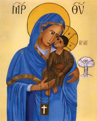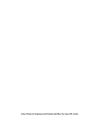A Day of Prayer for Forgiveness and Protection with Mary, Our Lady of Mt. Carmel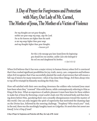# **A Day of Prayer for Forgiveness and Protection with Mary, Our Lady of Mt. Carmel, The Mother of Jesus, The Mother of a Victim of Violence**

*For my thoughts are not your thoughts, neither are your ways my ways, says the Lord. For as the heavens are higher than the earth so are my ways higher than your ways and my thoughts higher than your thoughts.*  $-$ Isaiah 55:8

> *For this is the message you have heard from the beginning: you should love one another, unlike Cain who belonged to the evil one and slaughtered his brother.*

—1 Jn 3:11-12

When Evil believes that it has won a major victory in human history when Evil is convinced that it has crushed significant possibilities for joy, truth, mercy, care, compassion and holiness when Evil recognizes that it has successfully planted the seeds of perversion that will ensure a full cup of misery for many tomorrows—when it has done these things, Evil then always tries to top off its triumph by blatantly mocking the Holy One.

How self-satisfied with their own mocking cleverness the soldiers who tortured Jesus must have been when they "crowned" Him with thorns, while contemptuously referring to Him as King of the Jews. What an experience of sadistic pleasure it must have been for these soldiers to make fun of Jesus by throwing a royal scarlet cloak over His tortured body and then bowing down before Him, parodying their own cowardly obsequiousness toward the masters of this world. One can only imagine the spirit of superiority that motivated the shaming slaps on the Divine face, followed by the sneering challenge, "Prophesy! Who struck you?" And, in the end, there was the mockingly haughty taunt on Golgotha: *He saved others but cannot save himself. So he is King of Israel!*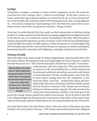### **Sacrilege**

Technically, a sacrilege is a violation or misuse of what is regarded as sacred. The word is derived from the Latin, *sacrilegus*, that is, "stealer of sacred things." By the time a person or a society reaches this stage of spiritual malaise, it is certain that he, she, or it has activated realities on the invisible side of existence which will do them great harm, that is, bring judgment, etc.,—the natural consequences of participating in evil—into their lives, unless there is an authentic return to the Divine via repentance: metanoia, "change of mind."

To be clear, it is neither that the Holy One is petty, nor that God must lash out with fury at being insulted. It is rather a question of what the person or group engaged in the sacrilege has become by the time he, she, or it would even conceive of trampling on the Holy. When this point is reached, only prayerful repentance can short circuit the current of evil let loose among the galaxies that lie below the surface of visible existence. If these movements are not interrupted, they will eventually erupt into the conscious life of the person or group as an utterly unanticipated, but precisely directed, catastrophic bolt of lightning—seemingly coming from out of the blue.

# **Destroyer of worlds**

When the Father of the atomic bomb, Dr. Robert Oppenheimer, experienced the blast of the first atomic inferno, the unexpected and unnerving thought that came to him was a sentence from the BHAGAVAD GITA: "Now I have become death, the destroyer of worlds." From where-

When the Father of the atomic bomb, Dr. Robert Oppenheimer, experienced the blast of the first atomic inferno, the unexpected and unnerving thought that came to him was a sentence from the BHAGAVAD GITA: "Now I have become death, the destroyer of worlds."

in that moment—did such an idea arise? Did it arise merely from an awareness of the real possibility that, as of that moment and henceforward, politicians and military personnel could initiate a nuclear holocaust? Did this scientific genius—who knew that he knew almost nothing about the vast complexities of submolecular reality-sense that perhaps then-unseen and thenunknowable dimensions of existence had been lethally altered, and that therefore ecosystems of life, human and non-human, had been hurled into extreme jeopardy? We will never know for certain from what mysterious chamber in the deep space of his

psyche this strange sentence gushed into explicit consciousness. All we do know is that this is the chilling thought that flashed into the consciousness of the Father of the atomic bomb, when the first atomic explosion flashed before his eyes and pockmarked the face of the earth.

Since that historic day in the New Mexico desert—when the surface of this planet was made literally as hot as the surface of the sun—1,949 of these unnatural lacerations have disfigured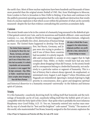the earth's face. Most of these nuclear explosions have been hundreds and thousands of times more powerful than the original atomic fireball of 1945. But, from Washington to Moscow, from London to Paris to Jerusalem to New Delhi to Beijing, it has been and continues to be the publicly presented operating assumption that the only significant destruction that results from of a nuclear explosion is that which occurs within the perimeter of what can be currently measured—despite the fact that evidence contradicting this assertion accumulates daily.

#### **Cainism**

The atomic bomb came to be in the context of a humanity long ensnared in the diabolical spirit that gained control over Cain, and in its monstrous and freakish offshoot—state-sanctioned Cainism—i.e., war. All sides in World War II were engaged in the indiscriminate, religiously

justified, very profitable (for a few), destruction of human beings en masse. The United States happened to develop The Bomb

The United States happened to develop THE BOMB first, but Russia, Germany, and Japan were also trying to produce it, and if one of these three countries had succeeded, it is utterly improbable and unreasonable to assume or even suggest that its high command—Tojo, Hitler, or Stalin—would have had any more scruples about dropping it than did Harry Truman.

first, but Russia, Germany, and Japan were also trying to produce it, and if one of these three countries had succeeded, it is utterly improb-

All sides in World War II were engaged in the indiscriminate, religiously justified, very profitable (for a few), destruction of human beings en masse.

able and unreasonable to assume or even suggest that its high command—Tojo, Hitler, or Stalin—would have had any more scruples about dropping it than did Truman. So the atomic bomb and its consequences belong to a bedeviled humanity, not exclusively to a particular nation or segment of humanity. This is a fact of history that is almost always ignored, de-emphasized, or minimized every August 6 and August 9 when Hiroshima and Nagasaki are remembered. Ignoring it, instead of giving it a high priority in consciousness, does a grave and dangerous spiritual

and historical disservice to a humanity ensnared—universally—in the hideous and heinous spirit of Cainism.

# **Trinity**

It is this humanity—ceaselessly deceiving itself, by telling itself that homicide and the technology of homicide can be of God, ceaselessly telling itself that the hellish spirit of Cain is compatible with the Holy Spirit of the Christ—that spoke what is probably the most infamous blasphemy since Good Friday, A.D. 33. You see, humanity entered into nuclear mass murder by way of a bomb that its "best and the brightest" code-named "Trinity." The masters of this world, who masterminded THE BOMB, brazenly assigned to the first atomic explosion the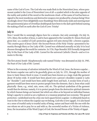name of the God of Love. The God who was made flesh in the Nonviolent Jesus, whose paramount symbol is the Cross of Nonviolent Love of all—a symbol which is the utter opposite of the reality and symbol of the sword or the mushroom cloud—of the name of God has been assigned to the most murderous and destructive weapon ever produced by a human being! How mockingly clever! How delightfully nose-thumbing! How deliciously snide and sneering must this quintessential piece of Orwellian doublespeak have been to the dark spirit behind naming the making of hell on earth after the God of Love: Trinity!

### **July 16**

Now I would like to seemingly digress here for a minute—but only seemingly. On July 16, 1251, Mary, the mother of Jesus, is said to have appeared to the Carmelite St. Simon Stock and given him—as a symbol of God's protection against evil unto eternal life—a brown scapular. This creative grace of Jesus Christ—the Second Person of the Holy Trinity—presented to humanity through Mary as Our Lady of Mt. Carmel was celebrated annually on July 16 in local dioceses throughout the world for centuries. In 1726, Pope Benedict XIII formally designated July 16 the Feast of Our Lady of Mt. Carmel for the universal Catholic Church—and so it remains to this day.

The first atomic bomb—blasphemously code-named Trinity—was detonated on July 16, 1945, the Feast of Our Lady of Mt. Carmel.

When in the economy of salvation initiated by the Word of God, Jesus, the brown scapular... the brown scapular was said to be gracefully given on July 16, 1251, through the mother of Jesus to Saint Simon Stock to wear, it would have been known as a large cloak-like garment about 18 inches wide. It would have been placed over a person's shoulders (*scapula* is Latin for "shoulder") and would have been ankle-length front and back. A secular form of such a garment would have been worn to protect people from the elements, that is, from what could physically them, e.g., wind, rain, snow, cold, etc. The spiritual symbolism of the garment would then be obvious; namely, it is to protect people from the destructive spiritual elements by which human beings are harmed, but which are often as far beyond an individual human being's capacity to control as are a typhoon or a runaway perpetual war economy. This graced protection—symbolized now by a tiny one-inch square brown scapular—is ultimately based on trust in the One to whom the scapular says we belong, God who is love (agapé). It is also based on a sense of trustful unity to trustful unity of being, nature and heart with the one with the one whom we ask to pray for us and with us, the sorrowful mother of a Victim of violence, Jesus, the incarnation of the Word (*Logos*) of God, the Second Person of the Trinity of Agapé.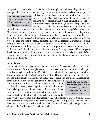Is it possible that centuries ago the Holy Trinity through the Christ-event began in love via the sign of July 16, to orchestrate an escape for humanity from the cataclysmic consequences

There are more things in heaven and on earth than are dreamt of in our philosophies-or in our politics or in our sciences.

of this unprecedented explosion of evil into the human condition on July 16, 1945—and from its infernal sources? Is it possible that long before humanity had even an inkling it needed to be saved from a manifestation of Evil, God was acting to save humanity? It is possible! Did not Shakespeare rightly counter the

"one dimensional person" with Hamlet's observation: *There are more things in heaven and earth, Horatio, than are dreamt of in your philosophy*—or in our politics or in our sciences.My purpose here is not to argue the validity, meaning, purpose or place of apparitions—whatever they may be—within the Christ-event as it unfolds in history. Nor is it to discuss our solidarity with the yet-to-be-born and with the dead. Nor is it to reflect on the theological intracacies of asking that "great cloud of witnesses" who have gone before us, including to the Mother of a Victim of violence, Jesus, for the grace, to pray with us. My purpose is to invite you on July 16 to pray with others, including the Mother of a Victim of violence, for the grace—for all humanity—to break free from the wickedness and snares and consequences of the diabolical spirit of Cain made symbolically and efficaciously present and to monstrouly witnessed to in the atomic cloud of July 16, 1945.

#### **An invitation**

This is an invitation to pray for forgiveness for the history of chosen evil—which Cainists and institutionalized Cainism have planned and executed—whose destructive power reached previously unimagined levels on July 16,1945. It is also an invitation to pray for protection from the poisonous and bitter fruits of this nuclear seeding of the soul and soil of humanity by Cainists and institutionalized Cainism. For, in fact, July 16 represents and marks the commence-

ment in human existence of a process of monetarily profitable human destruction that has and will indiscriminately—and to an altogether new degree—bring misery and death down upon human beings for generations to come, as the ever-novel lines of weapons it brings into the human situation are developed and used. Indeed, July 16 is the symbol and reality of weaponry that

July 16 is the symbol and the reality of weaponry that kills even if it is never used, as well as, weaponry that kills long after it is used.

kills even if it is never used, as well as weaponry that kills long after it is used. By its cost alone it murders the working class and poor by depriving them of indispensable resources, which they need to live, and to which every human being has an inalienable right—a right conferred simply by the fact that he or she is a human being.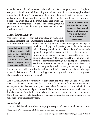Once the soul and the soil are seeded by the production of such weapons, no one on the planet can protect himself or herself from being contaminated by their ever-mutating spiritual and physical manifestations. They have created a cauldron of physical, spiritual, social, personal, and economic pathologies within humanity that have infected and affected us in ways never

before seen. Every child in the womb, every farm, every lake, every person, every person's loved ones and offspring for untold generations must eventually wind up living downwind from the mushroom cloud.

## **King of the world economy**

The Cainist's mind-set (now institutionalized in mega multinational armament corporations raking in gigantic profits for a

Making instruments with which to kill and to maim the infinitely valued and loved sons and daughters of the Father of all (Eph 4: 6) is the biggest and most profitable business on the planet…Cainism is king of the world economy!

few) for which the death-saturated cloud of July 16 is the symbol tearing human beings to shreds, physically, spiritually, socially, personally, and economically at this very second. July 16 and the evil use of human intelligence that it symbolizes has not only turned a large segment of the world into a radiation-saturated St. George, Utah, and Semipalatinsk, Kazakhstan,\* it has also turned the economy of country after country ever increasingly into being part of a perpetual Manhattan Project in search of and in production of ever new ways and weapons by which to destroy human beings. Making

instruments with which to kill and to maim the infinitely valued and loved sons and daughters of the Father of all (Eph 4:6) is the biggest and most profitable business on the planet. Cainism is king of the world economy!

Hence the invitation that on this day we pray, adore, and petition the God of Love, the Trinity of Love, for eternal forgiveness for past evil and for protection from the future temporal consequences of evil entered into by ourselves and our forbearers. And it is an invitation to pray for this forgiveness and protection with Mary, the mother of an innocent victim of the brutal madness of Cainists, the likes of whom operate to this hour in government, commerce, the military, finance, violent revolutions, organized crime and religion, just as they did at the time her Son was murdered by them.

# **A non-thought**

Every act of violence harms at least three people. Every act of violence simultaneously harms \*[See the DVD documentary titled THE DRAGON THAT SLEW ST. GEORGE.]

Every child in the womb, every farm, every lake, every person, every person's loved ones and offspring for untold generations must eventually wind up living downwind from the mushroom cloud.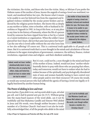the victimizer, the victim, and those who love the victim. Mary, or Miriam if you prefer the Hebrew name of the mother of Jesus, knows the anguish of seeing a loved one mutilated, tor-

tured, and murdered before her eyes. She knows what it means to be unable to save her beloved Son from the organized and legalized violence wielded by the secular power brokers and endorsed by the religious power brokers. She knows this as deeply as any mother or father, sister or brother, wife or husband in Hiroshima or Nagasaki in 1945, in Iraq at this hour, or at any place at any time in the history of humanity, where the life of a person loved by someone has been ripped from him or her by a Cainist or a Cainist institution or organization. When the soldier's lance pierced her Son's heart, did not that same lance pierce her heart? Can the one who is loved suffer without the one who loves him

…the mother of Jesus knows the anguish of seeing a loved one mutilated, tortured and murdered before her eyes. She knows what it means to be unable to save her Son from the organized and legalized violence wielded by the secular power brokers and ebdorsed by the religious power brokers.

or her also suffering? Of course not. This is a universal truth applicable to all people at all times. But it is a universal truth that is a non-thought in the minds and calculations of the majordomos in the upper stratospheres of government, commerce, the military, finance, violent revolutions, organized crime and religion—and their obedient underlings.

Indeed, would not Jesus' mother wholeheartedly desire to pray with those who are praying that others, today and tomorrow, would not have to endure what she had to endure?

But it is not, could not be, a non-thought in the mind and heart of the mother of Jesus. Indeed, would not Jesus' mother wholeheartedly desire to pray with those who are praying that others, today and tomorrow, would not have to endure what she had to endure because of the spiritually and psychologically disordered state of men and women heatedly lusting to have control over other people and/or over their resources? Of course she would,

as would any normal person who had suffered the agonia of having a loved one legally or illegally butchered by another human being.

# **The Power of abiding in love and trust**

Jesus teaches: *If you abide in me, and my words abide in you, ask what you will, and it shall be granted unto you* (Jn 15:7). Without going into the many-hued nuances of the word abide, can it not be truthfully said that Mahatma Gandhi and Simone Weil abided in Jesus and His words, even though neither became a formal member of a Christian Church? And must it not also be truthfully acknowledged that, of all the people who abide in the mind

…can it not be truthfully said that Mahatma Gandhi and Simone Weil abided in Jesus and His words, even though neither became a member of a Christian Church?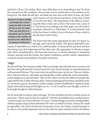and heart of Jesus, His mother, Mary, must abide there in an extraordinary way? For from His conception to His crucifixion, she was there in love, indeed often in the extremes of suffering love. But abide she did then, and abide she does now in the heart of Jesus, the heart

And must it not also be truthfully acknowledged that, of all the people who abide in the mind and heart of Jesus, His mother, Mary, must abide there in an extraordinary way? For from His conception to His crucifixion, she was there in love, indeed often in the extremes of suffering love.

of the mystery of God, the Second Person of the Holy Trinity of Love become flesh. The long history of the efficacy of praying with Mary evokes awe in those who know even a piece of it. That history has nothing to do with magic, nor with what is sometimes referred to as "Mariolatry." It is exclusively the fruit of the free choice to abide in love in the heart of Jesus, which is also the heart of the Trinity.

The prayer then that seems appropriate for July 16 is prayer in, through, and to the Holy Trinity—that Eternal Indivisible Com-

munity of Indivisible Love: Father, Son, and Holy Spirit—in whom all live and move and have their being, have their beginning and have their end. Also appropriate to this day is prayer with others, including Mary, who have had loved ones or friends destroyed or maimed by violence, and who want the Cainists, the Cainists' institutions, and the Cainists' organizations to stop the murder and mutilation of people's loved ones.

# **"Help!"**

We all need help. The American myths of the Lone Ranger, the self-made man or woman, and the loner who pulls himself or herself up by his or her own bootstraps are manufactured and well-promoted illusions. They never were true and they never can be true. They are, furthermore, illusions that are—spiritually, psychologically, socially, politically, and economically acutely dangerous to self and others. They are lies. Were it not for the millions of people who supported the life of Albert Einstein daily—farmers planting and harvesting, sanitation workers, secretaries, grocers, shoemakers, clothes-makers, printers, bookbinders, repairmen keeping the electricity flowing and the lights on, etc.,—E=mc2 would be a non-thought, a never-tobe-thought thought for Albert Einstein.

We all need help in matters small and large. We have probably all said to another person at some time, "Please, pray for Jim; he is quite ill." We have all probably said to another person, "Could you give me a hand with this? It's heavy." Human beings are utterly interdependent. Without people using up their individual life's time on behalf of others, human life would be impossible. This is how the Eternal Community of Love, the Trinity, created humanity to be, that is, to be totally dependent each on the other for mere existence and for the fullness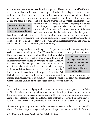of existence—dependent on more others than anyone could ever fathom. This self-evident, as well as rationally deducible truth, when coupled with the universally given faculties of empathy and care which human beings possess by the grace of God, means that individually and collectively, if it chooses, humanity can mirror, can participate in the very Life of Care, Love, Mercy, and Agapé that is the Heart of the Trinity, as revealed to us by the Second Person of the

If there is one thing that cannot be done alone, whether you are God or a human being, it is love. Holy Trinity who was *made flesh*. If there is one thing that cannot be done alone, whether you are God or a human being, it is love. For love to be, there must be the other. The notion of the selfmade man or woman, like the notion of an isolated-dyspeptic-

tyrant-old-bachelor God, is at best a falsehood resulting from ignorance or, at worst, a brutal, deceptive ploy by which some people are manipulated by others, who out of their disordered desires, e.g., greed, the lust for power, do not want a human community living and loving in imitation of the Divine Community, the Holy Trinity.

All human beings are de facto walking "HELP" signs. And so it is that we seek help from each other and we seek help from God. We ask others to intercede for us, petition with us for

the help we need from other people and from God. We probably most especially ask those who have great empathy for our plight and for what we seek. And so, we ask Mary, a person who knows to the marrow of her being the anguish of a mother of a Victim of Cainists and of institutionalized Cainism, to help us, to pray with us on this Feast Day of hers, so that our loved ones and the loved ones of others will not be destroyed by the spirit of Cain

All human beings are walking "HELP" signs. We all need help. The American myth of the selfmade man or woman is an acutely dangerous illusion to self and others.

that relentlessly roams the earth seeking bodies, minds, spirits, and souls to devour, and that is made unmistakably visible on July16, 1945, under the name of the Holy—the name under which organized Cainism has so often blasphemously operated in history.

# **"Me"**

All are welcome to come and pray in silence for twenty-four hours or any part thereof at Trinity Site, this July 16, or any July 16 thereafter, and in so doing to participate in the struggle to bring good out of evil; indeed, to overcome evil with love. For to pray for others, to use up some of one's lifetime to help others, for the good of others, is to love others and thereby to love the God of Love by loving those who the Holy Trinity loves. (Mt 25:31-46; 1 Jn 4:20-21).

If you cannot physically be present in the New Mexico desert on July 16, please pray with those at Trinity Site in your own personal space or with your local community in the Presence